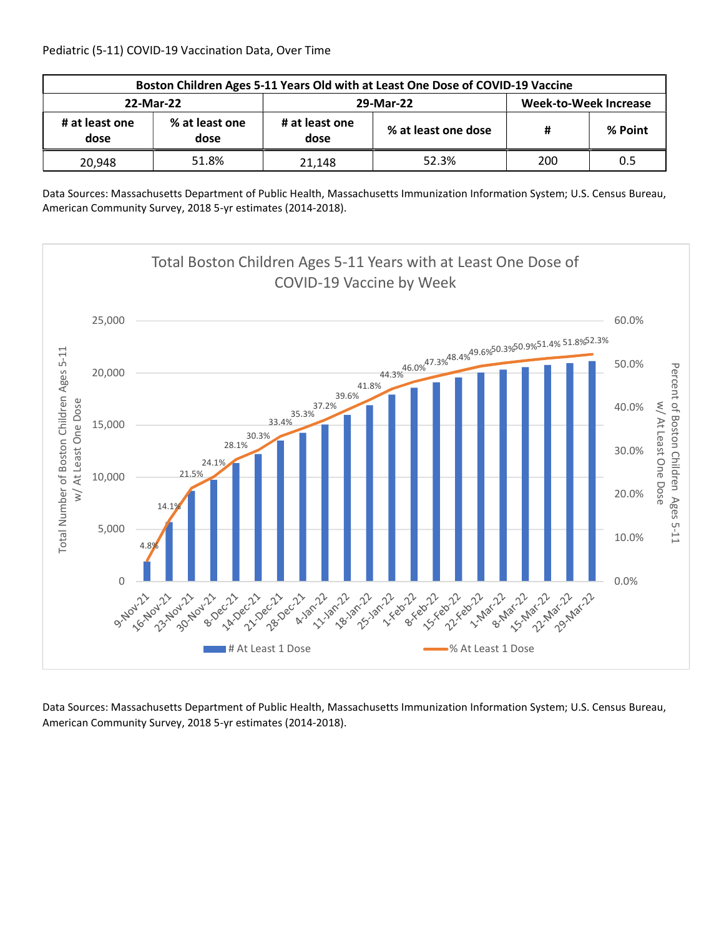| Boston Children Ages 5-11 Years Old with at Least One Dose of COVID-19 Vaccine |                        |                        |                     |                       |         |  |  |
|--------------------------------------------------------------------------------|------------------------|------------------------|---------------------|-----------------------|---------|--|--|
| 22-Mar-22                                                                      |                        |                        | 29-Mar-22           | Week-to-Week Increase |         |  |  |
| # at least one<br>dose                                                         | % at least one<br>dose | # at least one<br>dose | % at least one dose | #                     | % Point |  |  |
| 20,948                                                                         | 51.8%                  | 21.148                 | 52.3%               | 200                   | 0.5     |  |  |

Data Sources: Massachusetts Department of Public Health, Massachusetts Immunization Information System; U.S. Census Bureau, American Community Survey, 2018 5-yr estimates (2014-2018).

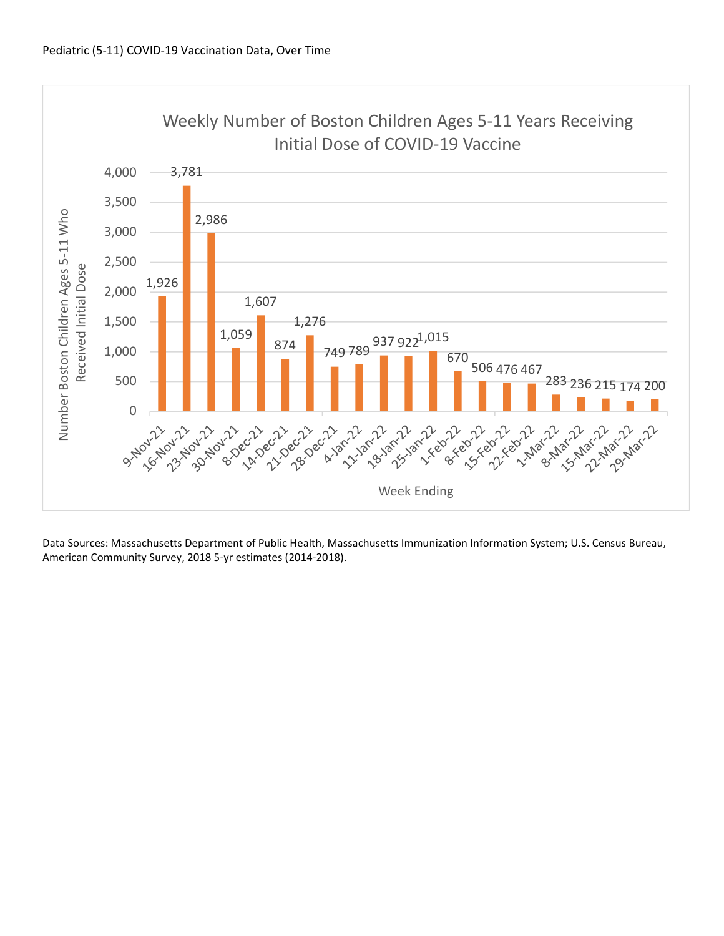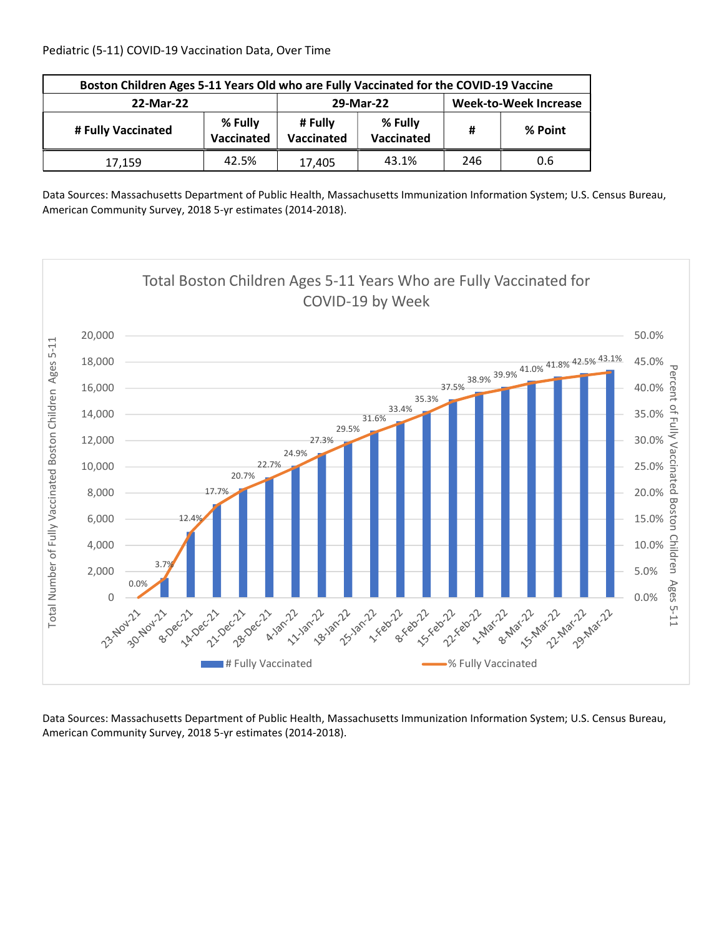Pediatric (5-11) COVID-19 Vaccination Data, Over Time

| Boston Children Ages 5-11 Years Old who are Fully Vaccinated for the COVID-19 Vaccine |                       |           |                       |     |         |  |
|---------------------------------------------------------------------------------------|-----------------------|-----------|-----------------------|-----|---------|--|
| 22-Mar-22                                                                             |                       | 29-Mar-22 | Week-to-Week Increase |     |         |  |
| # Fully Vaccinated                                                                    | % Fully<br>Vaccinated |           | % Fully<br>Vaccinated | #   | % Point |  |
| 17,159                                                                                | 42.5%                 | 17,405    | 43.1%                 | 246 | 0.6     |  |

Data Sources: Massachusetts Department of Public Health, Massachusetts Immunization Information System; U.S. Census Bureau, American Community Survey, 2018 5-yr estimates (2014-2018).

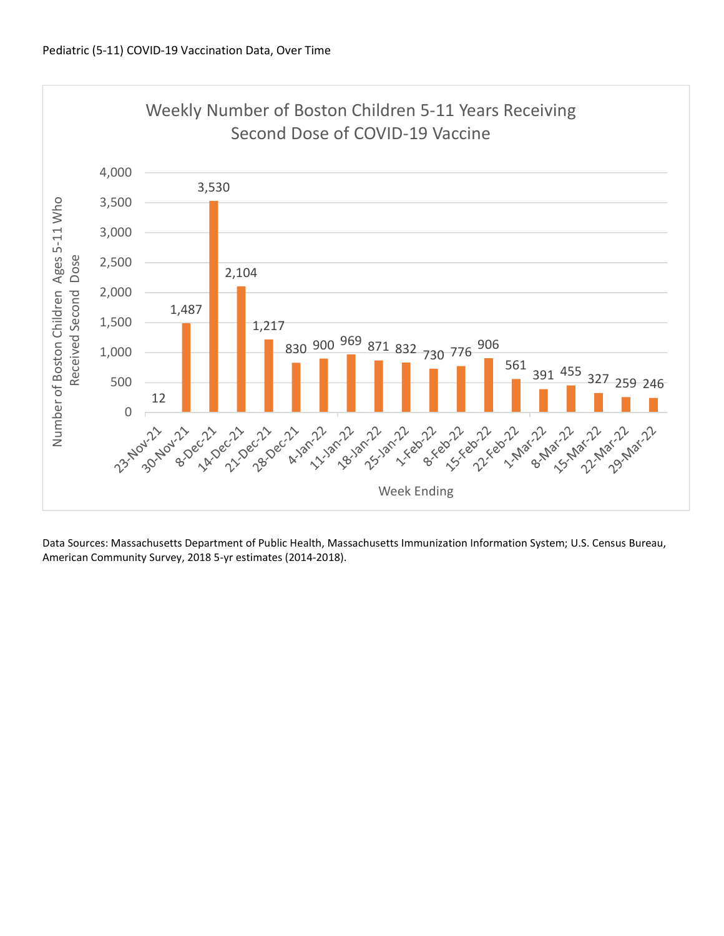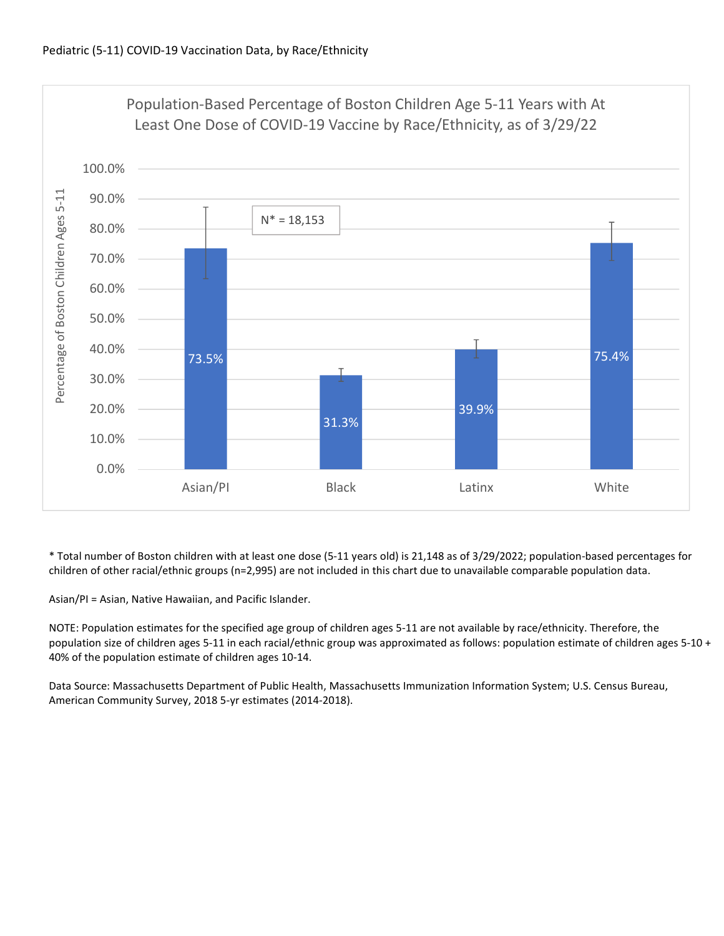

\* Total number of Boston children with at least one dose (5-11 years old) is 21,148 as of 3/29/2022; population-based percentages for children of other racial/ethnic groups (n=2,995) are not included in this chart due to unavailable comparable population data.

Asian/PI = Asian, Native Hawaiian, and Pacific Islander.

NOTE: Population estimates for the specified age group of children ages 5-11 are not available by race/ethnicity. Therefore, the population size of children ages 5-11 in each racial/ethnic group was approximated as follows: population estimate of children ages 5-10 + 40% of the population estimate of children ages 10-14.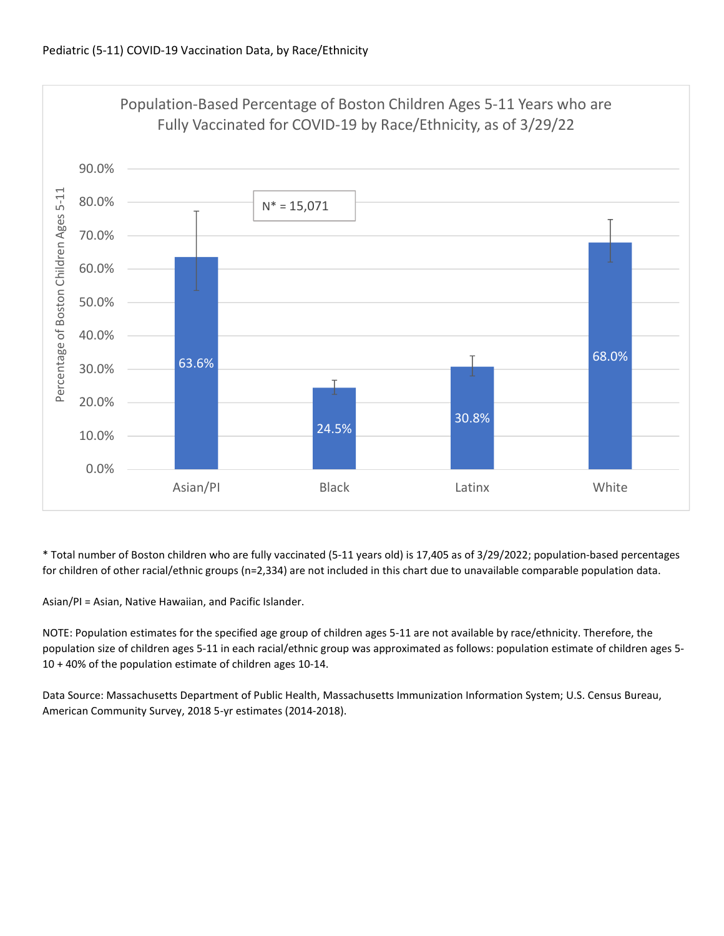

\* Total number of Boston children who are fully vaccinated (5-11 years old) is 17,405 as of 3/29/2022; population-based percentages for children of other racial/ethnic groups (n=2,334) are not included in this chart due to unavailable comparable population data.

Asian/PI = Asian, Native Hawaiian, and Pacific Islander.

NOTE: Population estimates for the specified age group of children ages 5-11 are not available by race/ethnicity. Therefore, the population size of children ages 5-11 in each racial/ethnic group was approximated as follows: population estimate of children ages 5- 10 + 40% of the population estimate of children ages 10-14.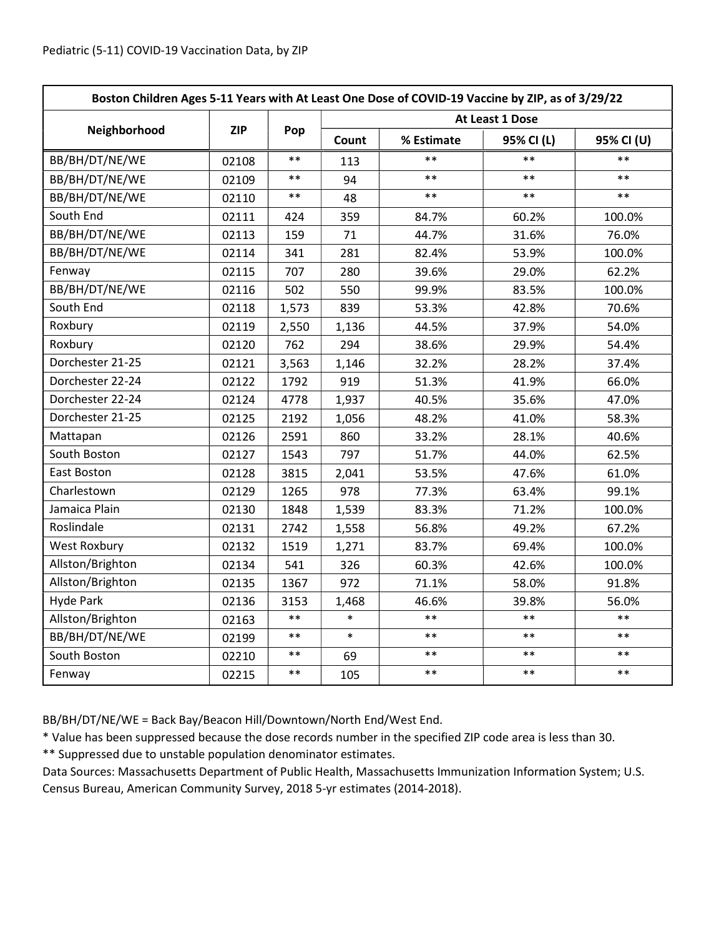| Boston Children Ages 5-11 Years with At Least One Dose of COVID-19 Vaccine by ZIP, as of 3/29/22 |            |            |                 |            |            |            |  |
|--------------------------------------------------------------------------------------------------|------------|------------|-----------------|------------|------------|------------|--|
|                                                                                                  | <b>ZIP</b> | Pop        | At Least 1 Dose |            |            |            |  |
| Neighborhood                                                                                     |            |            | Count           | % Estimate | 95% CI (L) | 95% CI (U) |  |
| BB/BH/DT/NE/WE                                                                                   | 02108      | $***$      | 113             | $***$      | $***$      | $***$      |  |
| BB/BH/DT/NE/WE                                                                                   | 02109      | $***$      | 94              | $**$       | $**$       | $**$       |  |
| BB/BH/DT/NE/WE                                                                                   | 02110      | $***$      | 48              | $***$      | $***$      | $***$      |  |
| South End                                                                                        | 02111      | 424        | 359             | 84.7%      | 60.2%      | 100.0%     |  |
| BB/BH/DT/NE/WE                                                                                   | 02113      | 159        | 71              | 44.7%      | 31.6%      | 76.0%      |  |
| BB/BH/DT/NE/WE                                                                                   | 02114      | 341        | 281             | 82.4%      | 53.9%      | 100.0%     |  |
| Fenway                                                                                           | 02115      | 707        | 280             | 39.6%      | 29.0%      | 62.2%      |  |
| BB/BH/DT/NE/WE                                                                                   | 02116      | 502        | 550             | 99.9%      | 83.5%      | 100.0%     |  |
| South End                                                                                        | 02118      | 1,573      | 839             | 53.3%      | 42.8%      | 70.6%      |  |
| Roxbury                                                                                          | 02119      | 2,550      | 1,136           | 44.5%      | 37.9%      | 54.0%      |  |
| Roxbury                                                                                          | 02120      | 762        | 294             | 38.6%      | 29.9%      | 54.4%      |  |
| Dorchester 21-25                                                                                 | 02121      | 3,563      | 1,146           | 32.2%      | 28.2%      | 37.4%      |  |
| Dorchester 22-24                                                                                 | 02122      | 1792       | 919             | 51.3%      | 41.9%      | 66.0%      |  |
| Dorchester 22-24                                                                                 | 02124      | 4778       | 1,937           | 40.5%      | 35.6%      | 47.0%      |  |
| Dorchester 21-25                                                                                 | 02125      | 2192       | 1,056           | 48.2%      | 41.0%      | 58.3%      |  |
| Mattapan                                                                                         | 02126      | 2591       | 860             | 33.2%      | 28.1%      | 40.6%      |  |
| South Boston                                                                                     | 02127      | 1543       | 797             | 51.7%      | 44.0%      | 62.5%      |  |
| East Boston                                                                                      | 02128      | 3815       | 2,041           | 53.5%      | 47.6%      | 61.0%      |  |
| Charlestown                                                                                      | 02129      | 1265       | 978             | 77.3%      | 63.4%      | 99.1%      |  |
| Jamaica Plain                                                                                    | 02130      | 1848       | 1,539           | 83.3%      | 71.2%      | 100.0%     |  |
| Roslindale                                                                                       | 02131      | 2742       | 1,558           | 56.8%      | 49.2%      | 67.2%      |  |
| <b>West Roxbury</b>                                                                              | 02132      | 1519       | 1,271           | 83.7%      | 69.4%      | 100.0%     |  |
| Allston/Brighton                                                                                 | 02134      | 541        | 326             | 60.3%      | 42.6%      | 100.0%     |  |
| Allston/Brighton                                                                                 | 02135      | 1367       | 972             | 71.1%      | 58.0%      | 91.8%      |  |
| <b>Hyde Park</b>                                                                                 | 02136      | 3153       | 1,468           | 46.6%      | 39.8%      | 56.0%      |  |
| Allston/Brighton                                                                                 | 02163      | $\ast\ast$ | $\ast$          | $***$      | $***$      | $***$      |  |
| BB/BH/DT/NE/WE                                                                                   | 02199      | $***$      | $\ast$          | $\ast\ast$ | $***$      | $***$      |  |
| South Boston                                                                                     | 02210      | $***$      | 69              | $**$       | $***$      | $**$       |  |
| Fenway                                                                                           | 02215      | $**$       | 105             | $***$      | $***$      | $***$      |  |

BB/BH/DT/NE/WE = Back Bay/Beacon Hill/Downtown/North End/West End.

\* Value has been suppressed because the dose records number in the specified ZIP code area is less than 30.

\*\* Suppressed due to unstable population denominator estimates.